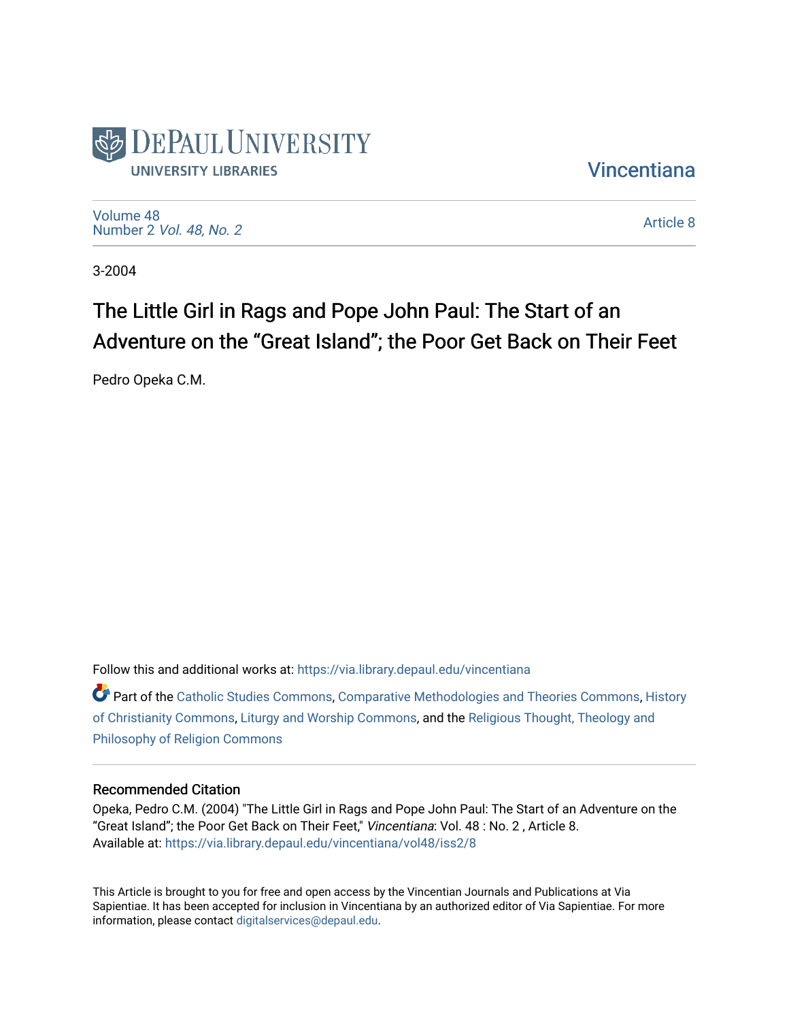

**Vincentiana** 

[Volume 48](https://via.library.depaul.edu/vincentiana/vol48) Number 2 [Vol. 48, No. 2](https://via.library.depaul.edu/vincentiana/vol48/iss2)

[Article 8](https://via.library.depaul.edu/vincentiana/vol48/iss2/8) 

3-2004

## The Little Girl in Rags and Pope John Paul: The Start of an Adventure on the "Great Island"; the Poor Get Back on Their Feet

Pedro Opeka C.M.

Follow this and additional works at: [https://via.library.depaul.edu/vincentiana](https://via.library.depaul.edu/vincentiana?utm_source=via.library.depaul.edu%2Fvincentiana%2Fvol48%2Fiss2%2F8&utm_medium=PDF&utm_campaign=PDFCoverPages) 

Part of the [Catholic Studies Commons](http://network.bepress.com/hgg/discipline/1294?utm_source=via.library.depaul.edu%2Fvincentiana%2Fvol48%2Fiss2%2F8&utm_medium=PDF&utm_campaign=PDFCoverPages), [Comparative Methodologies and Theories Commons,](http://network.bepress.com/hgg/discipline/540?utm_source=via.library.depaul.edu%2Fvincentiana%2Fvol48%2Fiss2%2F8&utm_medium=PDF&utm_campaign=PDFCoverPages) [History](http://network.bepress.com/hgg/discipline/1182?utm_source=via.library.depaul.edu%2Fvincentiana%2Fvol48%2Fiss2%2F8&utm_medium=PDF&utm_campaign=PDFCoverPages)  [of Christianity Commons](http://network.bepress.com/hgg/discipline/1182?utm_source=via.library.depaul.edu%2Fvincentiana%2Fvol48%2Fiss2%2F8&utm_medium=PDF&utm_campaign=PDFCoverPages), [Liturgy and Worship Commons,](http://network.bepress.com/hgg/discipline/1188?utm_source=via.library.depaul.edu%2Fvincentiana%2Fvol48%2Fiss2%2F8&utm_medium=PDF&utm_campaign=PDFCoverPages) and the [Religious Thought, Theology and](http://network.bepress.com/hgg/discipline/544?utm_source=via.library.depaul.edu%2Fvincentiana%2Fvol48%2Fiss2%2F8&utm_medium=PDF&utm_campaign=PDFCoverPages) [Philosophy of Religion Commons](http://network.bepress.com/hgg/discipline/544?utm_source=via.library.depaul.edu%2Fvincentiana%2Fvol48%2Fiss2%2F8&utm_medium=PDF&utm_campaign=PDFCoverPages)

## Recommended Citation

Opeka, Pedro C.M. (2004) "The Little Girl in Rags and Pope John Paul: The Start of an Adventure on the "Great Island"; the Poor Get Back on Their Feet," Vincentiana: Vol. 48 : No. 2 , Article 8. Available at: [https://via.library.depaul.edu/vincentiana/vol48/iss2/8](https://via.library.depaul.edu/vincentiana/vol48/iss2/8?utm_source=via.library.depaul.edu%2Fvincentiana%2Fvol48%2Fiss2%2F8&utm_medium=PDF&utm_campaign=PDFCoverPages) 

This Article is brought to you for free and open access by the Vincentian Journals and Publications at Via Sapientiae. It has been accepted for inclusion in Vincentiana by an authorized editor of Via Sapientiae. For more information, please contact [digitalservices@depaul.edu](mailto:digitalservices@depaul.edu).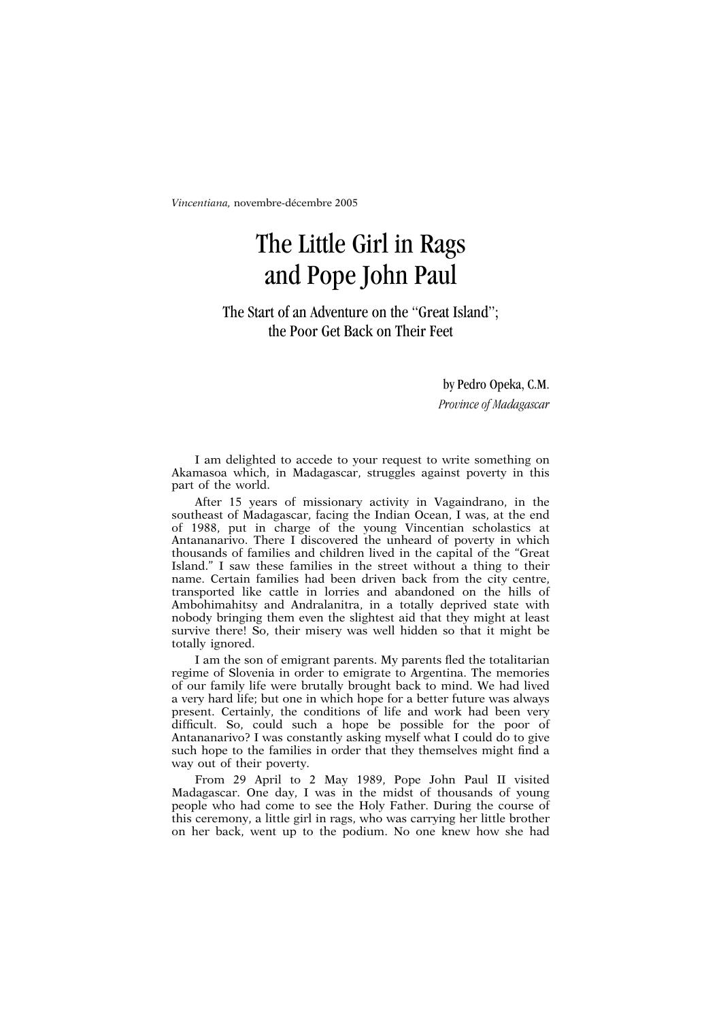*Vincentiana,* novembre-décembre 2005

## The Little Girl in Rags and Pope John Paul

The Start of an Adventure on the "Great Island"; the Poor Get Back on Their Feet

by Pedro Opeka, C.M.

*Province of Madagascar*

I am delighted to accede to your request to write something on Akamasoa which, in Madagascar, struggles against poverty in this part of the world.

After 15 years of missionary activity in Vagaindrano, in the southeast of Madagascar, facing the Indian Ocean, I was, at the end of 1988, put in charge of the young Vincentian scholastics at Antananarivo. There I discovered the unheard of poverty in which thousands of families and children lived in the capital of the "Great Island." I saw these families in the street without a thing to their name. Certain families had been driven back from the city centre, transported like cattle in lorries and abandoned on the hills of Ambohimahitsy and Andralanitra, in a totally deprived state with nobody bringing them even the slightest aid that they might at least survive there! So, their misery was well hidden so that it might be totally ignored.

I am the son of emigrant parents. My parents fled the totalitarian regime of Slovenia in order to emigrate to Argentina. The memories of our family life were brutally brought back to mind. We had lived a very hard life; but one in which hope for a better future was always present. Certainly, the conditions of life and work had been very difficult. So, could such a hope be possible for the poor of Antananarivo? I was constantly asking myself what I could do to give such hope to the families in order that they themselves might find a way out of their poverty.

From 29 April to 2 May 1989, Pope John Paul II visited Madagascar. One day, I was in the midst of thousands of young people who had come to see the Holy Father. During the course of this ceremony, a little girl in rags, who was carrying her little brother on her back, went up to the podium. No one knew how she had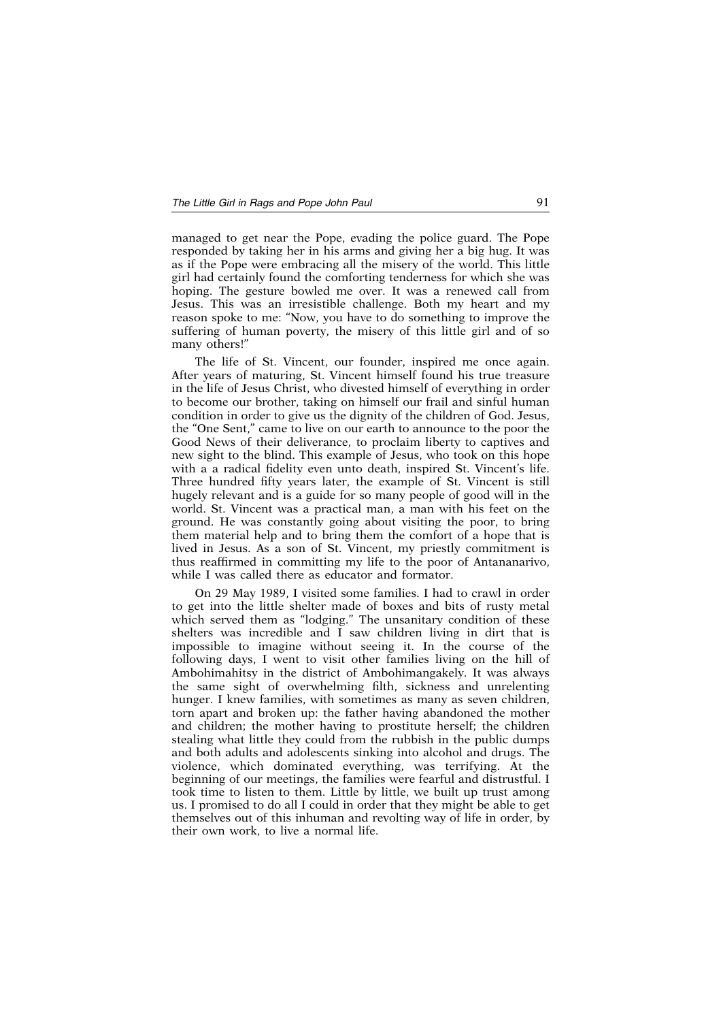## *The Little Girl in Rags and Pope John Paul* 91

managed to get near the Pope, evading the police guard. The Pope responded by taking her in his arms and giving her a big hug. It was as if the Pope were embracing all the misery of the world. This little girl had certainly found the comforting tenderness for which she was hoping. The gesture bowled me over. It was a renewed call from Jesus. This was an irresistible challenge. Both my heart and my reason spoke to me: "Now, you have to do something to improve the suffering of human poverty, the misery of this little girl and of so many others!"

The life of St. Vincent, our founder, inspired me once again. After years of maturing, St. Vincent himself found his true treasure in the life of Jesus Christ, who divested himself of everything in order to become our brother, taking on himself our frail and sinful human condition in order to give us the dignity of the children of God. Jesus, the "One Sent," came to live on our earth to announce to the poor the Good News of their deliverance, to proclaim liberty to captives and new sight to the blind. This example of Jesus, who took on this hope with a a radical fidelity even unto death, inspired St. Vincent's life. Three hundred fifty years later, the example of St. Vincent is still hugely relevant and is a guide for so many people of good will in the world. St. Vincent was a practical man, a man with his feet on the ground. He was constantly going about visiting the poor, to bring them material help and to bring them the comfort of a hope that is lived in Jesus. As a son of St. Vincent, my priestly commitment is thus reaffirmed in committing my life to the poor of Antananarivo, while I was called there as educator and formator.

On 29 May 1989, I visited some families. I had to crawl in order to get into the little shelter made of boxes and bits of rusty metal which served them as "lodging." The unsanitary condition of these shelters was incredible and I saw children living in dirt that is impossible to imagine without seeing it. In the course of the following days, I went to visit other families living on the hill of Ambohimahitsy in the district of Ambohimangakely. It was always the same sight of overwhelming filth, sickness and unrelenting hunger. I knew families, with sometimes as many as seven children, torn apart and broken up: the father having abandoned the mother and children; the mother having to prostitute herself; the children stealing what little they could from the rubbish in the public dumps and both adults and adolescents sinking into alcohol and drugs. The violence, which dominated everything, was terrifying. At the beginning of our meetings, the families were fearful and distrustful. I took time to listen to them. Little by little, we built up trust among us. I promised to do all I could in order that they might be able to get themselves out of this inhuman and revolting way of life in order, by their own work, to live a normal life.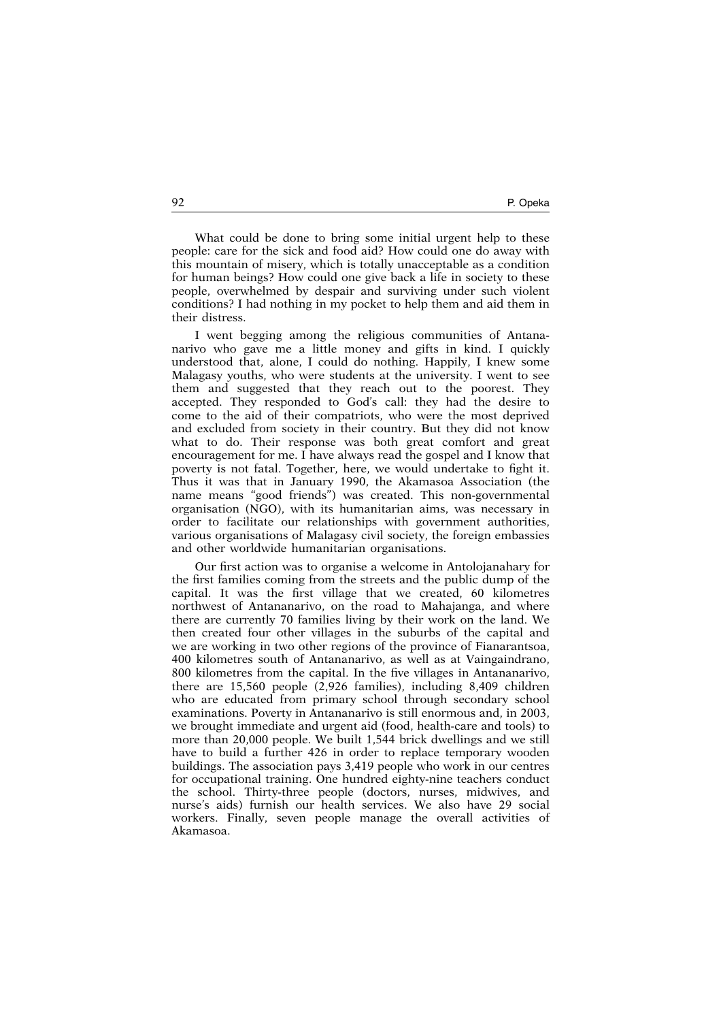What could be done to bring some initial urgent help to these people: care for the sick and food aid? How could one do away with this mountain of misery, which is totally unacceptable as a condition for human beings? How could one give back a life in society to these people, overwhelmed by despair and surviving under such violent conditions? I had nothing in my pocket to help them and aid them in their distress.

I went begging among the religious communities of Antananarivo who gave me a little money and gifts in kind. I quickly understood that, alone, I could do nothing. Happily, I knew some Malagasy youths, who were students at the university. I went to see them and suggested that they reach out to the poorest. They accepted. They responded to God's call: they had the desire to come to the aid of their compatriots, who were the most deprived and excluded from society in their country. But they did not know what to do. Their response was both great comfort and great encouragement for me. I have always read the gospel and I know that poverty is not fatal. Together, here, we would undertake to fight it. Thus it was that in January 1990, the Akamasoa Association (the name means "good friends") was created. This non-governmental organisation (NGO), with its humanitarian aims, was necessary in order to facilitate our relationships with government authorities, various organisations of Malagasy civil society, the foreign embassies and other worldwide humanitarian organisations.

Our first action was to organise a welcome in Antolojanahary for the first families coming from the streets and the public dump of the capital. It was the first village that we created, 60 kilometres northwest of Antananarivo, on the road to Mahajanga, and where there are currently 70 families living by their work on the land. We then created four other villages in the suburbs of the capital and we are working in two other regions of the province of Fianarantsoa, 400 kilometres south of Antananarivo, as well as at Vaingaindrano, 800 kilometres from the capital. In the five villages in Antananarivo, there are 15,560 people (2,926 families), including 8,409 children who are educated from primary school through secondary school examinations. Poverty in Antananarivo is still enormous and, in 2003, we brought immediate and urgent aid (food, health-care and tools) to more than 20,000 people. We built 1,544 brick dwellings and we still have to build a further 426 in order to replace temporary wooden buildings. The association pays 3,419 people who work in our centres for occupational training. One hundred eighty-nine teachers conduct the school. Thirty-three people (doctors, nurses, midwives, and nurse's aids) furnish our health services. We also have 29 social workers. Finally, seven people manage the overall activities of Akamasoa.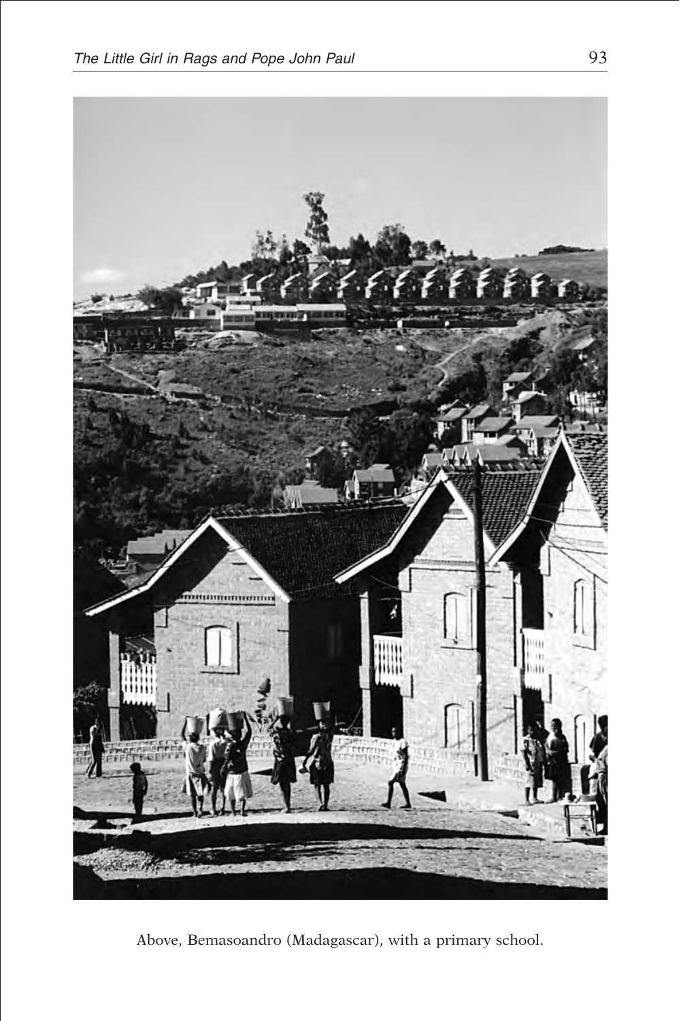

Above, Bemasoandro (Madagascar), with a primary school.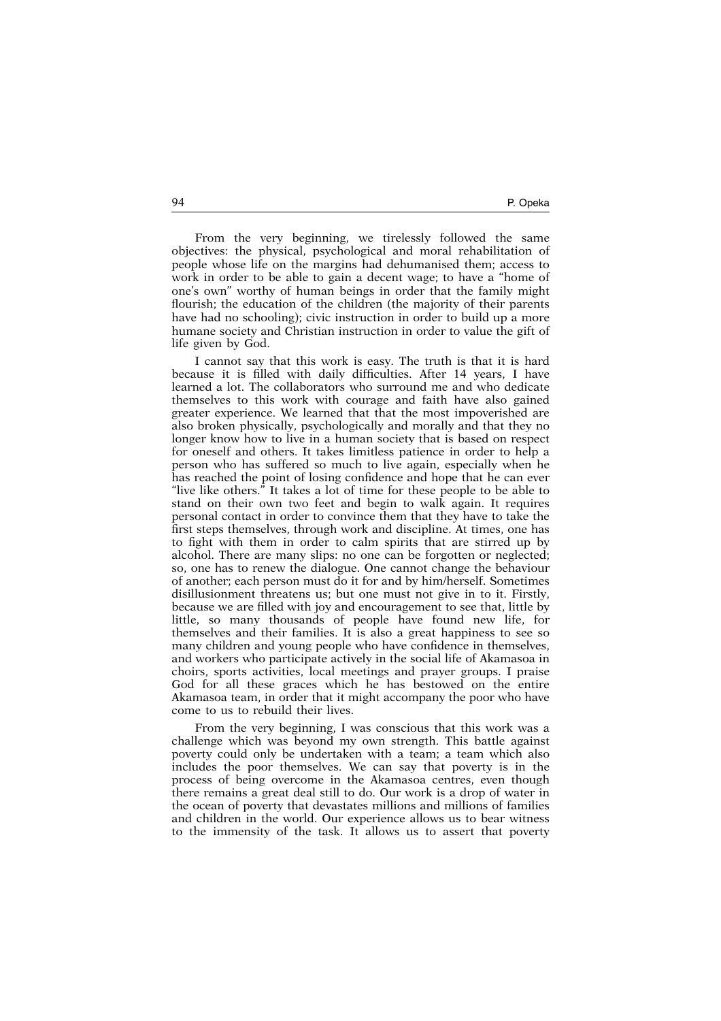From the very beginning, we tirelessly followed the same objectives: the physical, psychological and moral rehabilitation of people whose life on the margins had dehumanised them; access to work in order to be able to gain a decent wage; to have a "home of one's own" worthy of human beings in order that the family might flourish; the education of the children (the majority of their parents have had no schooling); civic instruction in order to build up a more humane society and Christian instruction in order to value the gift of life given by God.

I cannot say that this work is easy. The truth is that it is hard because it is filled with daily difficulties. After 14 years, I have learned a lot. The collaborators who surround me and who dedicate themselves to this work with courage and faith have also gained greater experience. We learned that that the most impoverished are also broken physically, psychologically and morally and that they no longer know how to live in a human society that is based on respect for oneself and others. It takes limitless patience in order to help a person who has suffered so much to live again, especially when he has reached the point of losing confidence and hope that he can ever "live like others." It takes a lot of time for these people to be able to stand on their own two feet and begin to walk again. It requires personal contact in order to convince them that they have to take the first steps themselves, through work and discipline. At times, one has to fight with them in order to calm spirits that are stirred up by alcohol. There are many slips: no one can be forgotten or neglected; so, one has to renew the dialogue. One cannot change the behaviour of another; each person must do it for and by him/herself. Sometimes disillusionment threatens us; but one must not give in to it. Firstly, because we are filled with joy and encouragement to see that, little by little, so many thousands of people have found new life, for themselves and their families. It is also a great happiness to see so many children and young people who have confidence in themselves, and workers who participate actively in the social life of Akamasoa in choirs, sports activities, local meetings and prayer groups. I praise God for all these graces which he has bestowed on the entire Akamasoa team, in order that it might accompany the poor who have come to us to rebuild their lives.

From the very beginning, I was conscious that this work was a challenge which was beyond my own strength. This battle against poverty could only be undertaken with a team; a team which also includes the poor themselves. We can say that poverty is in the process of being overcome in the Akamasoa centres, even though there remains a great deal still to do. Our work is a drop of water in the ocean of poverty that devastates millions and millions of families and children in the world. Our experience allows us to bear witness to the immensity of the task. It allows us to assert that poverty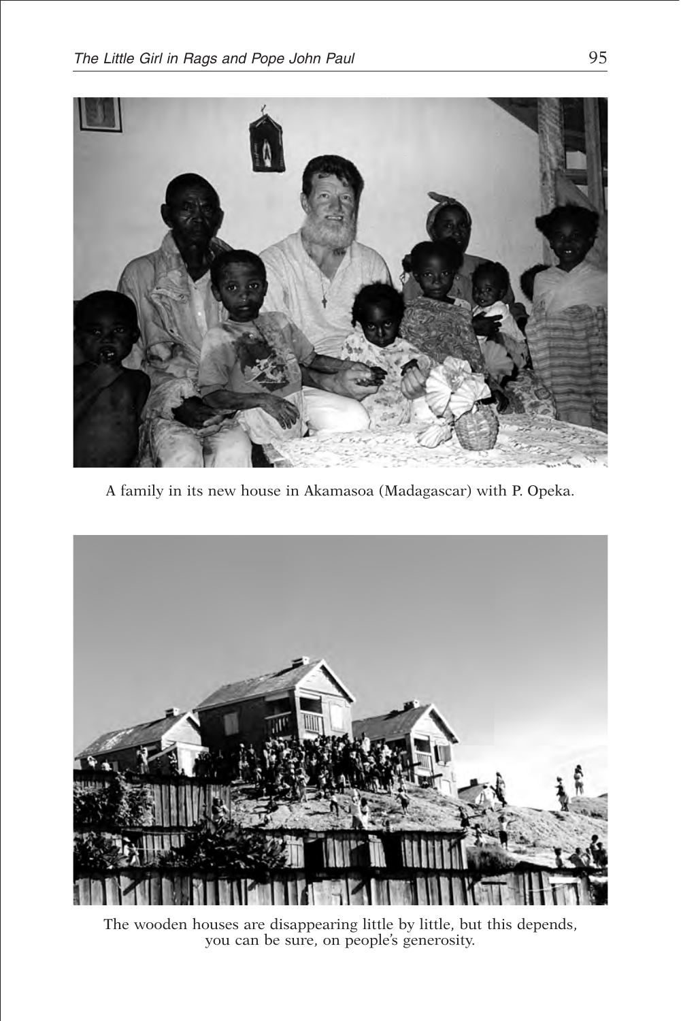

A family in its new house in Akamasoa (Madagascar) with P. Opeka.



The wooden houses are disappearing little by little, but this depends, you can be sure, on people's generosity.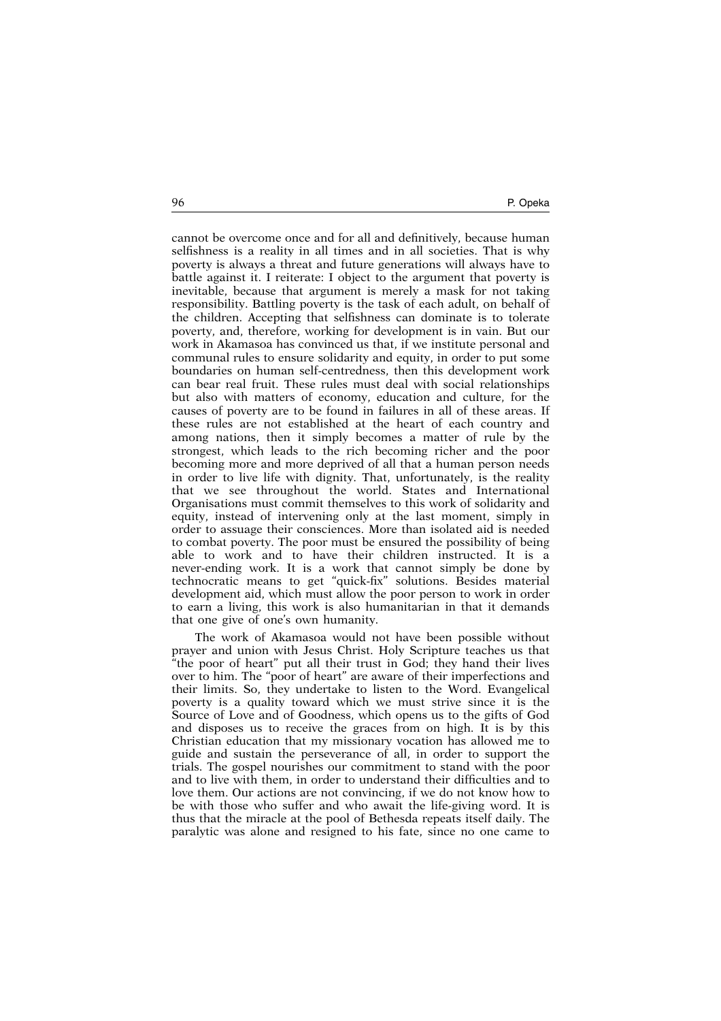96 P. Opeka

cannot be overcome once and for all and definitively, because human selfishness is a reality in all times and in all societies. That is why poverty is always a threat and future generations will always have to battle against it. I reiterate: I object to the argument that poverty is inevitable, because that argument is merely a mask for not taking responsibility. Battling poverty is the task of each adult, on behalf of the children. Accepting that selfishness can dominate is to tolerate poverty, and, therefore, working for development is in vain. But our work in Akamasoa has convinced us that, if we institute personal and communal rules to ensure solidarity and equity, in order to put some boundaries on human self-centredness, then this development work can bear real fruit. These rules must deal with social relationships but also with matters of economy, education and culture, for the causes of poverty are to be found in failures in all of these areas. If these rules are not established at the heart of each country and among nations, then it simply becomes a matter of rule by the strongest, which leads to the rich becoming richer and the poor becoming more and more deprived of all that a human person needs in order to live life with dignity. That, unfortunately, is the reality that we see throughout the world. States and International Organisations must commit themselves to this work of solidarity and equity, instead of intervening only at the last moment, simply in order to assuage their consciences. More than isolated aid is needed to combat poverty. The poor must be ensured the possibility of being able to work and to have their children instructed. It is a never-ending work. It is a work that cannot simply be done by technocratic means to get "quick-fix" solutions. Besides material development aid, which must allow the poor person to work in order to earn a living, this work is also humanitarian in that it demands that one give of one's own humanity.

The work of Akamasoa would not have been possible without prayer and union with Jesus Christ. Holy Scripture teaches us that "the poor of heart" put all their trust in God; they hand their lives over to him. The "poor of heart" are aware of their imperfections and their limits. So, they undertake to listen to the Word. Evangelical poverty is a quality toward which we must strive since it is the Source of Love and of Goodness, which opens us to the gifts of God and disposes us to receive the graces from on high. It is by this Christian education that my missionary vocation has allowed me to guide and sustain the perseverance of all, in order to support the trials. The gospel nourishes our commitment to stand with the poor and to live with them, in order to understand their difficulties and to love them. Our actions are not convincing, if we do not know how to be with those who suffer and who await the life-giving word. It is thus that the miracle at the pool of Bethesda repeats itself daily. The paralytic was alone and resigned to his fate, since no one came to